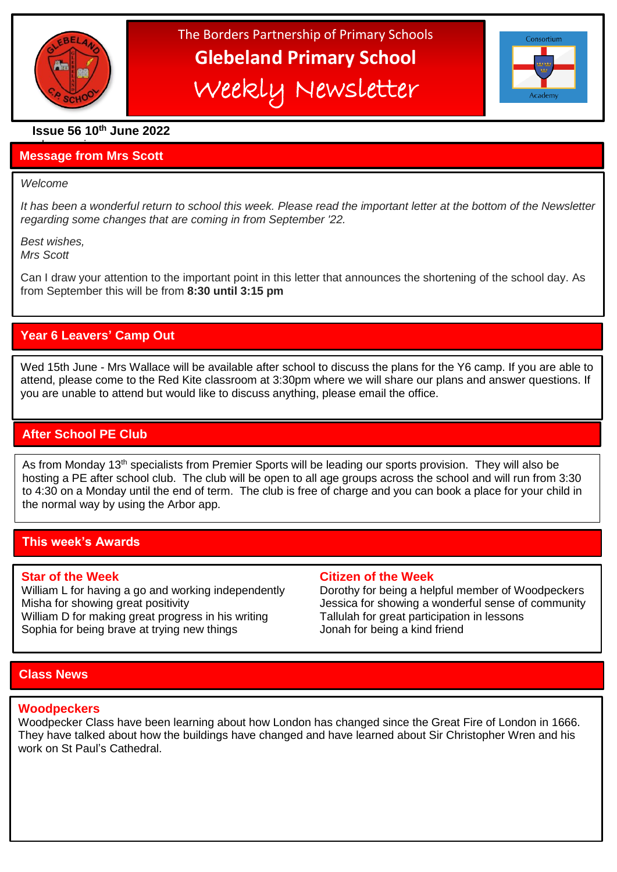

The Borders Partnership of Primary Schools **Glebeland Primary School** Weekly Newsletter



# **Issue 56 10th June 2022**

### a bumper issues in the second second in the second second second in the second second second in the second second second second second second second second second second second second second second second second second sec **Message from Mrs Scott**

## *Welcome*

֦

*It has been a wonderful return to school this week. Please read the important letter at the bottom of the Newsletter regarding some changes that are coming in from September '22.*

*Best wishes, Mrs Scott*

Can I draw your attention to the important point in this letter that announces the shortening of the school day. As from September this will be from **8:30 until 3:15 pm**

# **Year 6 Leavers' Camp Out**

Wed 15th June - Mrs Wallace will be available after school to discuss the plans for the Y6 camp. If you are able to attend, please come to the Red Kite classroom at 3:30pm where we will share our plans and answer questions. If you are unable to attend but would like to discuss anything, please email the office.

# **After School PE Club**

Į

As from Monday 13<sup>th</sup> specialists from Premier Sports will be leading our sports provision. They will also be hosting a PE after school club. The club will be open to all age groups across the school and will run from 3:30 to 4:30 on a Monday until the end of term. The club is free of charge and you can book a place for your child in the normal way by using the Arbor app.

## **This week's Awards**

William D for making great progress in his writing Tallulah for great participation in lessons Sophia for being brave at trying new things Jonah for being a kind friend

## **Star of the Week Citizen of the Week**

William L for having a go and working independently Dorothy for being a helpful member of Woodpeckers Misha for showing great positivity **Misha for showing a wonderful sense of community** 

## **Class News**

## **Woodpeckers**

Woodpecker Class have been learning about how London has changed since the Great Fire of London in 1666. They have talked about how the buildings have changed and have learned about Sir Christopher Wren and his work on St Paul's Cathedral.